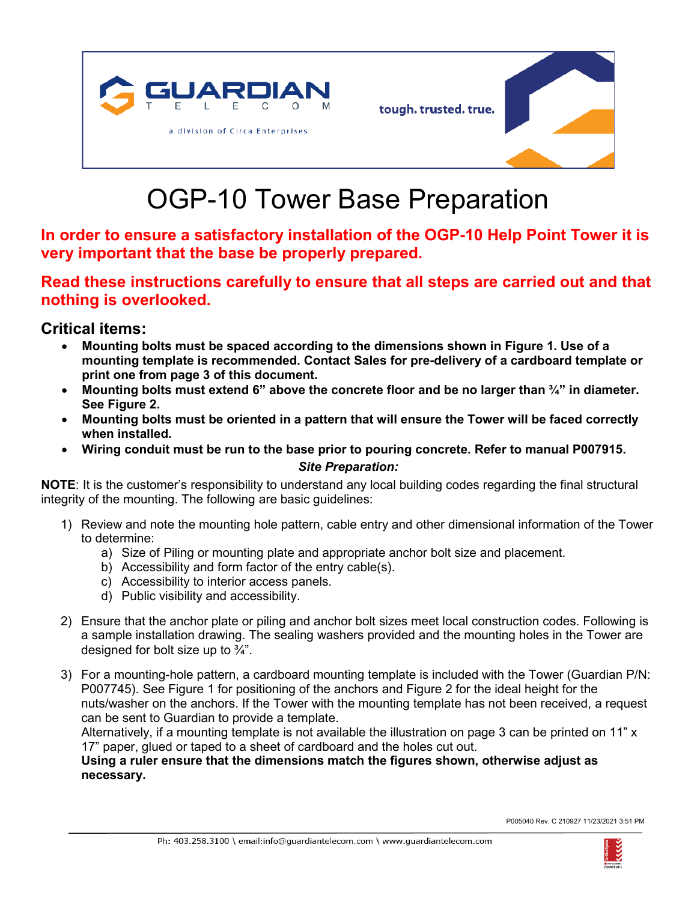



## OGP-10 Tower Base Preparation

**In order to ensure a satisfactory installation of the OGP-10 Help Point Tower it is very important that the base be properly prepared.**

## **Read these instructions carefully to ensure that all steps are carried out and that nothing is overlooked.**

## **Critical items:**

- **Mounting bolts must be spaced according to the dimensions shown in Figure 1. Use of a mounting template is recommended. Contact Sales for pre-delivery of a cardboard template or print one from page 3 of this document.**
- **Mounting bolts must extend 6" above the concrete floor and be no larger than ¾" in diameter. See Figure 2.**
- **Mounting bolts must be oriented in a pattern that will ensure the Tower will be faced correctly when installed.**
- **Wiring conduit must be run to the base prior to pouring concrete. Refer to manual P007915.**

## *Site Preparation:*

**NOTE**: It is the customer's responsibility to understand any local building codes regarding the final structural integrity of the mounting. The following are basic guidelines:

- 1) Review and note the mounting hole pattern, cable entry and other dimensional information of the Tower to determine:
	- a) Size of Piling or mounting plate and appropriate anchor bolt size and placement.
	- b) Accessibility and form factor of the entry cable(s).
	- c) Accessibility to interior access panels.
	- d) Public visibility and accessibility.
- 2) Ensure that the anchor plate or piling and anchor bolt sizes meet local construction codes. Following is a sample installation drawing. The sealing washers provided and the mounting holes in the Tower are designed for bolt size up to  $\frac{3}{4}$ ".
- 3) For a mounting-hole pattern, a cardboard mounting template is included with the Tower (Guardian P/N: P007745). See Figure 1 for positioning of the anchors and Figure 2 for the ideal height for the nuts/washer on the anchors. If the Tower with the mounting template has not been received, a request can be sent to Guardian to provide a template.

Alternatively, if a mounting template is not available the illustration on page 3 can be printed on 11" x 17" paper, glued or taped to a sheet of cardboard and the holes cut out.

**Using a ruler ensure that the dimensions match the figures shown, otherwise adjust as necessary.**

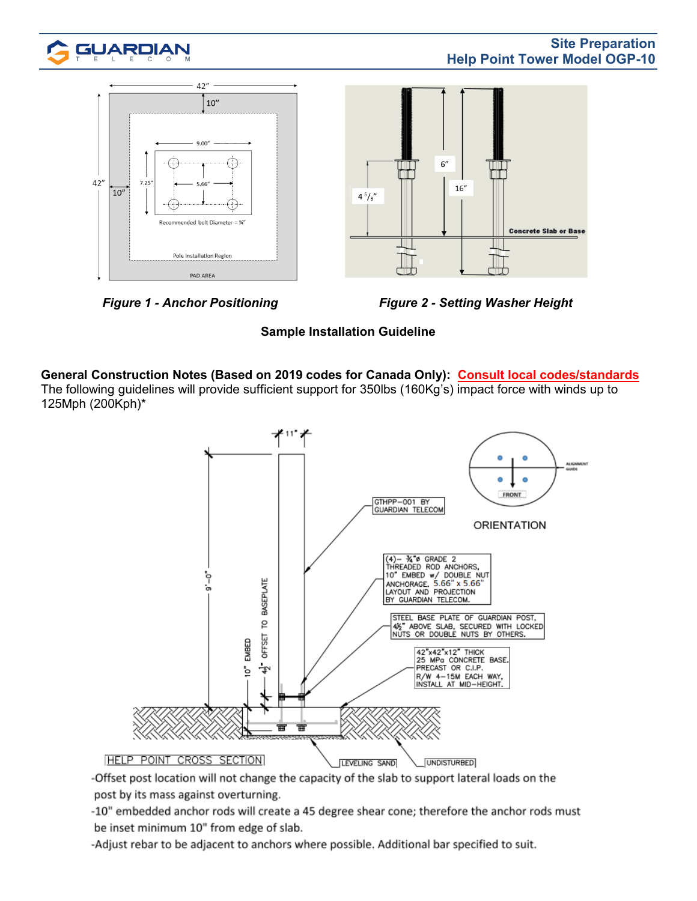





**Sample Installation Guideline**

**General Construction Notes (Based on 2019 codes for Canada Only): Consult local codes/standards** The following guidelines will provide sufficient support for 350lbs (160Kg's) impact force with winds up to 125Mph (200Kph)\*



-Offset post location will not change the capacity of the slab to support lateral loads on the post by its mass against overturning.

-10" embedded anchor rods will create a 45 degree shear cone; therefore the anchor rods must be inset minimum 10" from edge of slab.

-Adjust rebar to be adjacent to anchors where possible. Additional bar specified to suit.